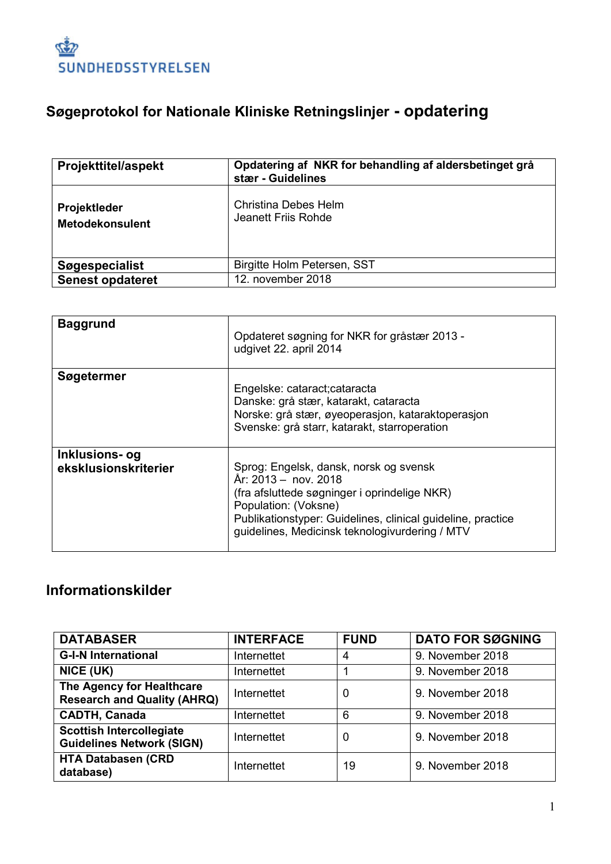

# **Søgeprotokol for Nationale Kliniske Retningslinjer - opdatering**

| <b>Projekttitel/aspekt</b>                    | Opdatering af NKR for behandling af aldersbetinget grå<br>stær - Guidelines |
|-----------------------------------------------|-----------------------------------------------------------------------------|
| <b>Projektleder</b><br><b>Metodekonsulent</b> | <b>Christina Debes Helm</b><br>Jeanett Friis Rohde                          |
| Søgespecialist                                | Birgitte Holm Petersen, SST                                                 |
| <b>Senest opdateret</b>                       | 12. november 2018                                                           |

| <b>Baggrund</b>                        | Opdateret søgning for NKR for gråstær 2013 -<br>udgivet 22. april 2014                                                                                                                                                                                  |
|----------------------------------------|---------------------------------------------------------------------------------------------------------------------------------------------------------------------------------------------------------------------------------------------------------|
| Søgetermer                             | Engelske: cataract; cataracta<br>Danske: grå stær, katarakt, cataracta<br>Norske: grå stær, øyeoperasjon, kataraktoperasjon<br>Svenske: grå starr, katarakt, starroperation                                                                             |
| Inklusions- og<br>eksklusionskriterier | Sprog: Engelsk, dansk, norsk og svensk<br>År: 2013 – nov. 2018<br>(fra afsluttede søgninger i oprindelige NKR)<br>Population: (Voksne)<br>Publikationstyper: Guidelines, clinical guideline, practice<br>guidelines, Medicinsk teknologivurdering / MTV |

### **Informationskilder**

| <b>DATABASER</b>                                                    | <b>INTERFACE</b> | <b>FUND</b> | <b>DATO FOR SØGNING</b> |
|---------------------------------------------------------------------|------------------|-------------|-------------------------|
| <b>G-I-N International</b>                                          | Internettet      | 4           | 9. November 2018        |
| NICE (UK)                                                           | Internettet      |             | 9. November 2018        |
| The Agency for Healthcare<br><b>Research and Quality (AHRQ)</b>     | Internettet      | 0           | 9. November 2018        |
| <b>CADTH, Canada</b>                                                | Internettet      | 6           | 9. November 2018        |
| <b>Scottish Intercollegiate</b><br><b>Guidelines Network (SIGN)</b> | Internettet      | 0           | 9. November 2018        |
| <b>HTA Databasen (CRD</b><br>database)                              | Internettet      | 19          | 9. November 2018        |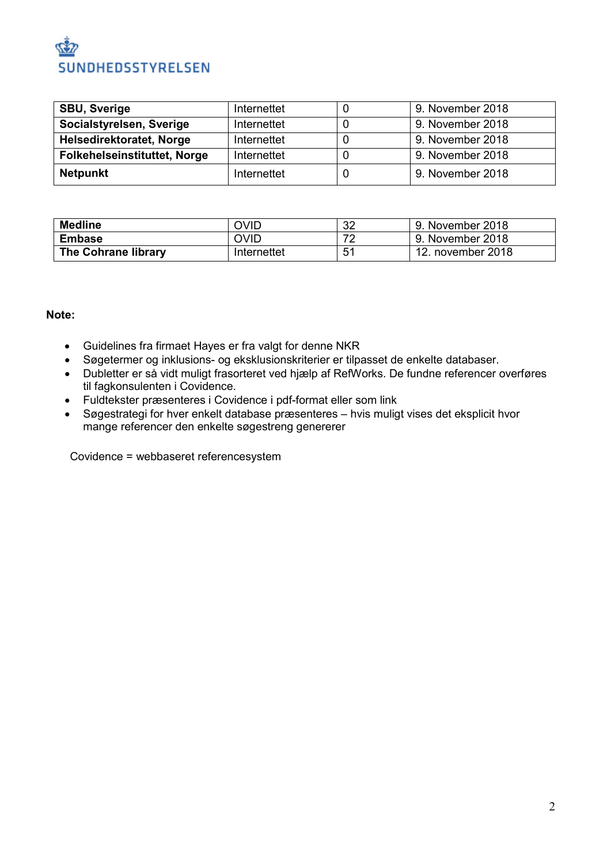# SUNDHEDSSTYRELSEN

| <b>SBU, Sverige</b>                 | Internettet | 9. November 2018 |
|-------------------------------------|-------------|------------------|
| Socialstyrelsen, Sverige            | Internettet | 9. November 2018 |
| Helsedirektoratet, Norge            | Internettet | 9. November 2018 |
| <b>Folkehelseinstituttet, Norge</b> | Internettet | 9. November 2018 |
| <b>Netpunkt</b>                     | Internettet | 9. November 2018 |

| <b>Medline</b>      | OVID        | 32 | 9. November 2018  |
|---------------------|-------------|----|-------------------|
| <b>Embase</b>       | <b>OVID</b> | 70 | 9. November 2018  |
| The Cohrane library | Internettet | 51 | 12. november 2018 |

#### **Note:**

- Guidelines fra firmaet Hayes er fra valgt for denne NKR
- Søgetermer og inklusions- og eksklusionskriterier er tilpasset de enkelte databaser.
- Dubletter er så vidt muligt frasorteret ved hjælp af RefWorks. De fundne referencer overføres til fagkonsulenten i Covidence.
- Fuldtekster præsenteres i Covidence i pdf-format eller som link
- Søgestrategi for hver enkelt database præsenteres hvis muligt vises det eksplicit hvor mange referencer den enkelte søgestreng genererer

Covidence = webbaseret referencesystem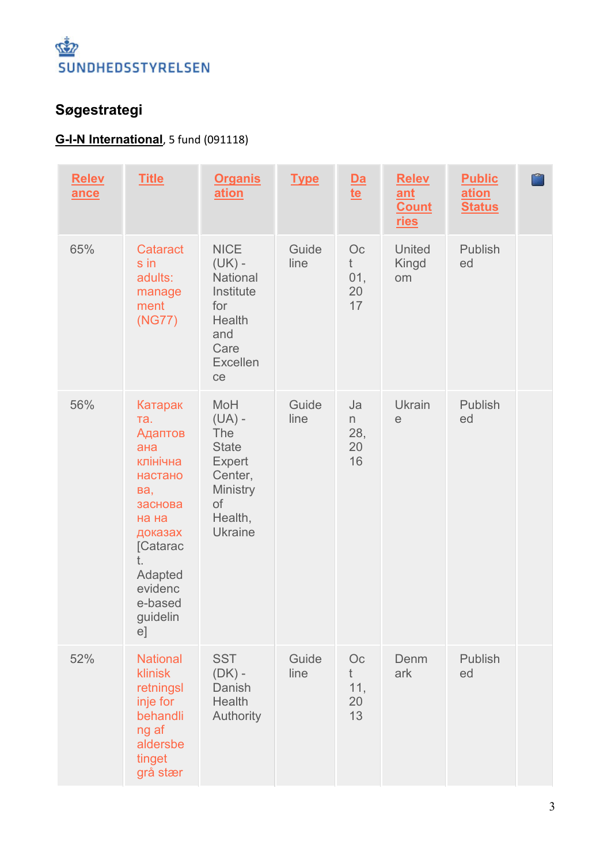

### **Søgestrategi**

### **G-I-N International**, 5 fund (091118)

| <b>Relev</b><br>ance | <b>Title</b>                                                                                                                                                       | <b>Organis</b><br>ation                                                                                                         | <b>Type</b>   | $\frac{\mathsf{Da}}{\mathsf{te}}$ | <b>Relev</b><br>ant<br><b>Count</b><br>ries | <b>Public</b><br>ation<br><b>Status</b> |  |
|----------------------|--------------------------------------------------------------------------------------------------------------------------------------------------------------------|---------------------------------------------------------------------------------------------------------------------------------|---------------|-----------------------------------|---------------------------------------------|-----------------------------------------|--|
| 65%                  | Cataract<br>s in<br>adults:<br>manage<br>ment<br>(NG77)                                                                                                            | <b>NICE</b><br>$(UK) -$<br>National<br>Institute<br>for<br>Health<br>and<br>Care<br><b>Excellen</b><br>ce                       | Guide<br>line | Oc<br>t<br>01,<br>20<br>17        | United<br>Kingd<br>om                       | Publish<br>ed                           |  |
| 56%                  | Катарак<br>Ta.<br>Адаптов<br>ана<br>клінічна<br>настано<br>Ba,<br>заснова<br>на на<br>доказах<br>[Catarac<br>t.<br>Adapted<br>evidenc<br>e-based<br>guidelin<br>e] | <b>MoH</b><br>$(UA)$ -<br><b>The</b><br><b>State</b><br><b>Expert</b><br>Center,<br>Ministry<br>of<br>Health,<br><b>Ukraine</b> | Guide<br>line | Ja<br>n<br>28,<br>20<br>16        | Ukrain<br>$\mathop{\mathrm{e}}$             | Publish<br>ed                           |  |
| 52%                  | <b>National</b><br><b>klinisk</b><br>retningsl<br>inje for<br>behandli<br>ng af<br>aldersbe<br>tinget<br>grå stær                                                  | <b>SST</b><br>$(DK)$ -<br>Danish<br>Health<br>Authority                                                                         | Guide<br>line | Oc<br>$†$<br>11,<br>20<br>13      | Denm<br>ark                                 | Publish<br>ed                           |  |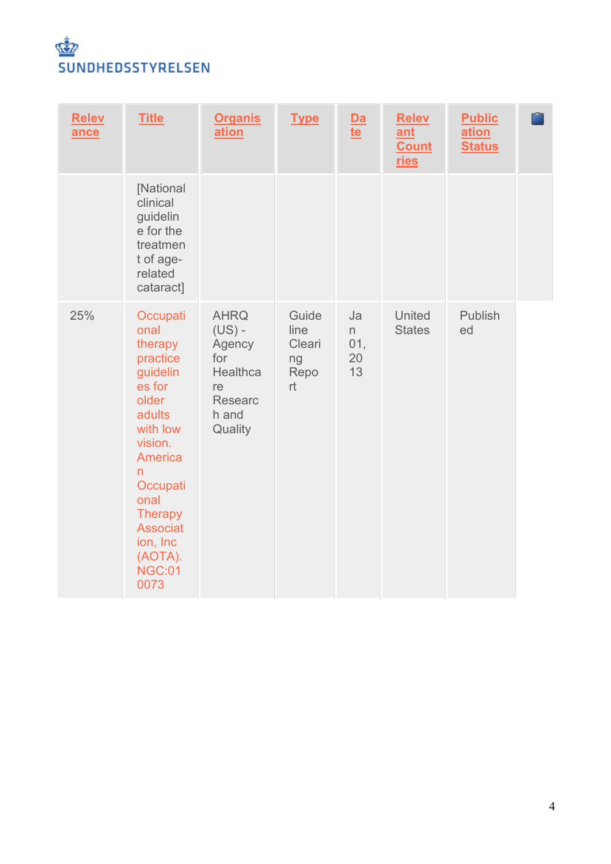

| <b>Relev</b><br>ance | <b>Title</b>                                                                                                                                                                                                                     | <b>Organis</b><br>ation                                                                   | <b>Type</b>                                 | $\frac{\mathsf{Da}}{\mathsf{te}}$ | <b>Relev</b><br>ant<br><b>Count</b><br><u>ries</u> | <b>Public</b><br>ation<br><b>Status</b> |  |
|----------------------|----------------------------------------------------------------------------------------------------------------------------------------------------------------------------------------------------------------------------------|-------------------------------------------------------------------------------------------|---------------------------------------------|-----------------------------------|----------------------------------------------------|-----------------------------------------|--|
|                      | [National<br>clinical<br>guidelin<br>e for the<br>treatmen<br>t of age-<br>related<br>cataract]                                                                                                                                  |                                                                                           |                                             |                                   |                                                    |                                         |  |
| 25%                  | Occupati<br>onal<br>therapy<br>practice<br>guidelin<br>es for<br>older<br>adults<br>with low<br>vision.<br>America<br>n<br>Occupati<br>onal<br><b>Therapy</b><br><b>Associat</b><br>ion, Inc<br>(AOTA).<br><b>NGC:01</b><br>0073 | <b>AHRQ</b><br>$(US)$ -<br>Agency<br>for<br>Healthca<br>re<br>Researc<br>h and<br>Quality | Guide<br>line<br>Cleari<br>ng<br>Repo<br>rt | Ja<br>n<br>01,<br>20<br>13        | <b>United</b><br><b>States</b>                     | Publish<br>ed                           |  |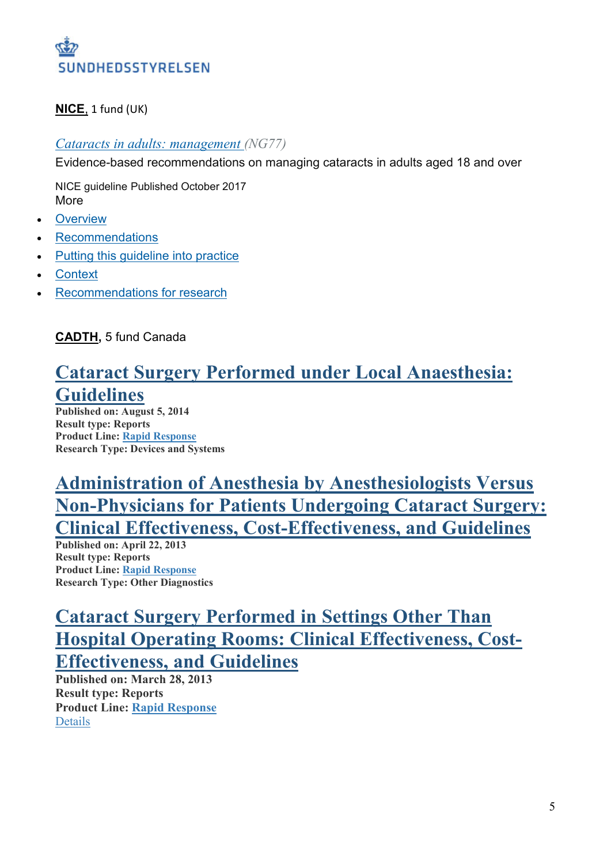

#### **NICE**, 1 fund (UK)

#### *Cataracts [in adults: management](https://www.nice.org.uk/guidance/ng77) (NG77)*

Evidence-based recommendations on managing cataracts in adults aged 18 and over

NICE guideline Published October 2017 More

- **[Overview](https://www.nice.org.uk/guidance/ng77)**
- **[Recommendations](https://www.nice.org.uk/guidance/ng77/chapter/Recommendations)**
- Putting this quideline into practice
- **[Context](https://www.nice.org.uk/guidance/ng77/chapter/Context)**
- [Recommendations for research](https://www.nice.org.uk/guidance/ng77/chapter/Recommendations-for-research)

**CADTH,** 5 fund Canada

### **Cataract Surgery Performed under Local [Anaesthesia:](https://www.cadth.ca/cataract-surgery-performed-under-local-anaesthesia-guidelines) [Guidelines](https://www.cadth.ca/cataract-surgery-performed-under-local-anaesthesia-guidelines)**

**Published on: August 5, 2014 Result type: Reports Product Line: Rapid [Response](https://www.cadth.ca/about-cadth/what-we-do/products-services/rapid-response-service) Research Type: Devices and Systems**

# **Administration of Anesthesia by [Anesthesiologists](https://www.cadth.ca/administration-anesthesia-anesthesiologists-versus-non-physicians-patients-undergoing-cataract) Versus [Non-Physicians](https://www.cadth.ca/administration-anesthesia-anesthesiologists-versus-non-physicians-patients-undergoing-cataract) for Patients Undergoing Cataract Surgery: Clinical Effectiveness, [Cost-Effectiveness,](https://www.cadth.ca/administration-anesthesia-anesthesiologists-versus-non-physicians-patients-undergoing-cataract) and Guidelines**

**Published on: April 22, 2013 Result type: Reports Product Line: Rapid [Response](https://www.cadth.ca/about-cadth/what-we-do/products-services/rapid-response-service) Research Type: Other Diagnostics**

# **Cataract Surgery [Performed](https://www.cadth.ca/cataract-surgery-performed-settings-other-hospital-operating-rooms-clinical-effectiveness-cost) in Settings Other Than Hospital Operating Rooms: Clinical [Effectiveness,](https://www.cadth.ca/cataract-surgery-performed-settings-other-hospital-operating-rooms-clinical-effectiveness-cost) Cost-[Effectiveness,](https://www.cadth.ca/cataract-surgery-performed-settings-other-hospital-operating-rooms-clinical-effectiveness-cost) and Guidelines**

**Published on: March 28, 2013 Result type: Reports Product Line: Rapid [Response](https://www.cadth.ca/about-cadth/what-we-do/products-services/rapid-response-service)** [Details](https://www.cadth.ca/search?keywords=cataract*+guidelines)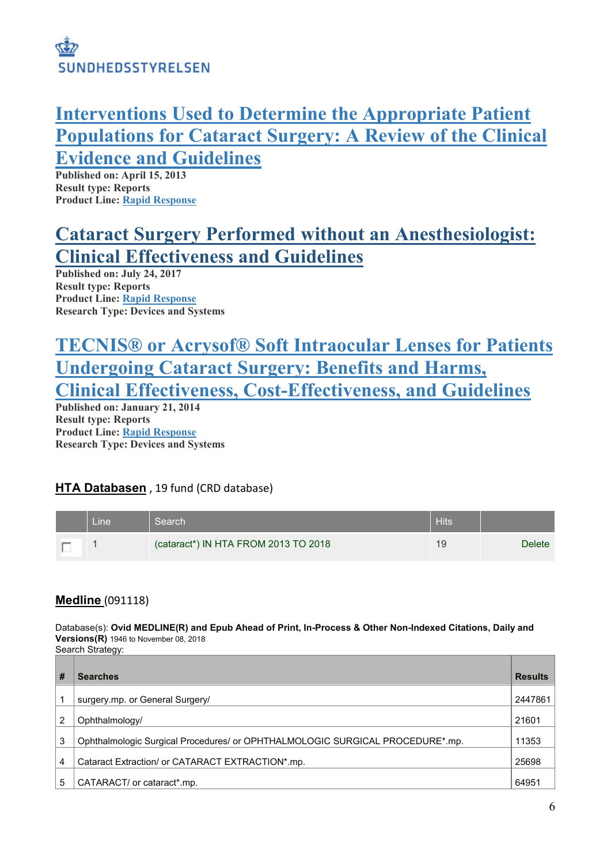

## **[Interventions](https://www.cadth.ca/interventions-used-determine-appropriate-patient-populations-cataract-surgery-review-clinical) Used to Determine the Appropriate Patient [Populations](https://www.cadth.ca/interventions-used-determine-appropriate-patient-populations-cataract-surgery-review-clinical) for Cataract Surgery: A Review of the Clinical Evidence and [Guidelines](https://www.cadth.ca/interventions-used-determine-appropriate-patient-populations-cataract-surgery-review-clinical)**

**Published on: April 15, 2013 Result type: Reports Product Line: Rapid [Response](https://www.cadth.ca/about-cadth/what-we-do/products-services/rapid-response-service)**

# **Cataract Surgery Performed without an [Anesthesiologist:](https://www.cadth.ca/cataract-surgery-performed-without-anesthesiologist-clinical-effectiveness-and-guidelines-1) Clinical [Effectiveness](https://www.cadth.ca/cataract-surgery-performed-without-anesthesiologist-clinical-effectiveness-and-guidelines-1) and Guidelines**

**Published on: July 24, 2017 Result type: Reports Product Line: Rapid [Response](https://www.cadth.ca/about-cadth/what-we-do/products-services/rapid-response-service) Research Type: Devices and Systems**

## **TECNIS® or Acrysof® Soft [Intraocular](https://www.cadth.ca/tecnisr-or-acrysofr-soft-intraocular-lenses-patients-undergoing-cataract-surgery-benefits-and-harms) Lenses for Patients [Undergoing](https://www.cadth.ca/tecnisr-or-acrysofr-soft-intraocular-lenses-patients-undergoing-cataract-surgery-benefits-and-harms) Cataract Surgery: Benefits and Harms, Clinical Effectiveness, [Cost-Effectiveness,](https://www.cadth.ca/tecnisr-or-acrysofr-soft-intraocular-lenses-patients-undergoing-cataract-surgery-benefits-and-harms) and Guidelines**

**Published on: January 21, 2014 Result type: Reports Product Line: Rapid [Response](https://www.cadth.ca/about-cadth/what-we-do/products-services/rapid-response-service) Research Type: Devices and Systems**

#### **HTA Databasen** , 19 fund (CRD database)

| Line | Search                               | <b>Hits</b> |               |
|------|--------------------------------------|-------------|---------------|
|      | (cataract*) IN HTA FROM 2013 TO 2018 | 19          | <b>Delete</b> |

#### **Medline** (091118)

Database(s): **Ovid MEDLINE(R) and Epub Ahead of Print, In-Process & Other Non-Indexed Citations, Daily and Versions(R)** 1946 to November 08, 2018 Search Strategy:

| # | <b>Searches</b>                                                               | <b>Results</b> |
|---|-------------------------------------------------------------------------------|----------------|
| 1 | surgery.mp. or General Surgery/                                               | 2447861        |
| 2 | Ophthalmology/                                                                | 21601          |
| 3 | Ophthalmologic Surgical Procedures/ or OPHTHALMOLOGIC SURGICAL PROCEDURE*.mp. | 11353          |
| 4 | Cataract Extraction/ or CATARACT EXTRACTION*.mp.                              | 25698          |
| 5 | CATARACT/ or cataract*.mp.                                                    | 64951          |